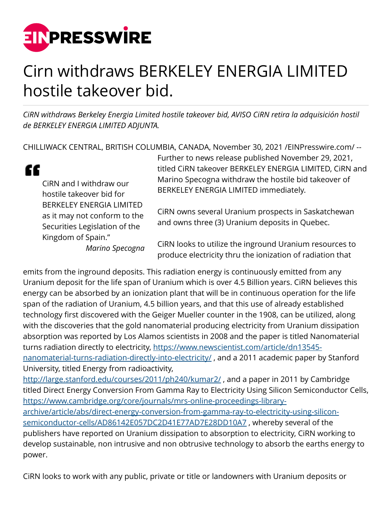

## Cirn withdraws BERKELEY ENERGIA LIMITED hostile takeover bid.

*CiRN withdraws Berkeley Energia Limited hostile takeover bid, AVISO CiRN retira la adquisición hostil de BERKELEY ENERGIA LIMITED ADJUNTA.*

CHILLIWACK CENTRAL, BRITISH COLUMBIA, CANADA, November 30, 2021 [/EINPresswire.com/](http://www.einpresswire.com) --

" CiRN and I withdraw our hostile takeover bid for BERKELEY ENERGIA LIMITED as it may not conform to the Securities Legislation of the Kingdom of Spain."

*Marino Specogna*

Further to news release published November 29, 2021, titled CiRN takeover BERKELEY ENERGIA LIMITED, CiRN and Marino Specogna withdraw the hostile bid takeover of BERKELEY ENERGIA LIMITED immediately.

CiRN owns several Uranium prospects in Saskatchewan and owns three (3) Uranium deposits in Quebec.

CiRN looks to utilize the inground Uranium resources to produce electricity thru the ionization of radiation that

emits from the inground deposits. This radiation energy is continuously emitted from any Uranium deposit for the life span of Uranium which is over 4.5 Billion years. CiRN believes this energy can be absorbed by an ionization plant that will be in continuous operation for the life span of the radiation of Uranium, 4.5 billion years, and that this use of already established technology first discovered with the Geiger Mueller counter in the 1908, can be utilized, along with the discoveries that the gold nanomaterial producing electricity from Uranium dissipation absorption was reported by Los Alamos scientists in 2008 and the paper is titled Nanomaterial turns radiation directly to electricity, [https://www.newscientist.com/article/dn13545](https://www.newscientist.com/article/dn13545-nanomaterial-turns-radiation-directly-into-electricity/) nanomaterial-turns-radiation-directly-into-electricity/, and a 2011 academic paper by Stanford University, titled Energy from radioactivity, <http://large.stanford.edu/courses/2011/ph240/kumar2/> , and a paper in 2011 by Cambridge titled Direct Energy Conversion From Gamma Ray to Electricity Using Silicon Semiconductor Cells, [https://www.cambridge.org/core/journals/mrs-online-proceedings-library](https://www.cambridge.org/core/journals/mrs-online-proceedings-library-archive/article/abs/direct-energy-conversion-from-gamma-ray-to-electricity-using-silicon-semiconductor-cells/AD86142E057DC2D41E77AD7E28DD10A7)[archive/article/abs/direct-energy-conversion-from-gamma-ray-to-electricity-using-silicon](https://www.cambridge.org/core/journals/mrs-online-proceedings-library-archive/article/abs/direct-energy-conversion-from-gamma-ray-to-electricity-using-silicon-semiconductor-cells/AD86142E057DC2D41E77AD7E28DD10A7)[semiconductor-cells/AD86142E057DC2D41E77AD7E28DD10A7](https://www.cambridge.org/core/journals/mrs-online-proceedings-library-archive/article/abs/direct-energy-conversion-from-gamma-ray-to-electricity-using-silicon-semiconductor-cells/AD86142E057DC2D41E77AD7E28DD10A7) , whereby several of the publishers have reported on Uranium dissipation to absorption to electricity, CiRN working to develop sustainable, non intrusive and non obtrusive technology to absorb the earths energy to power.

CiRN looks to work with any public, private or title or landowners with Uranium deposits or